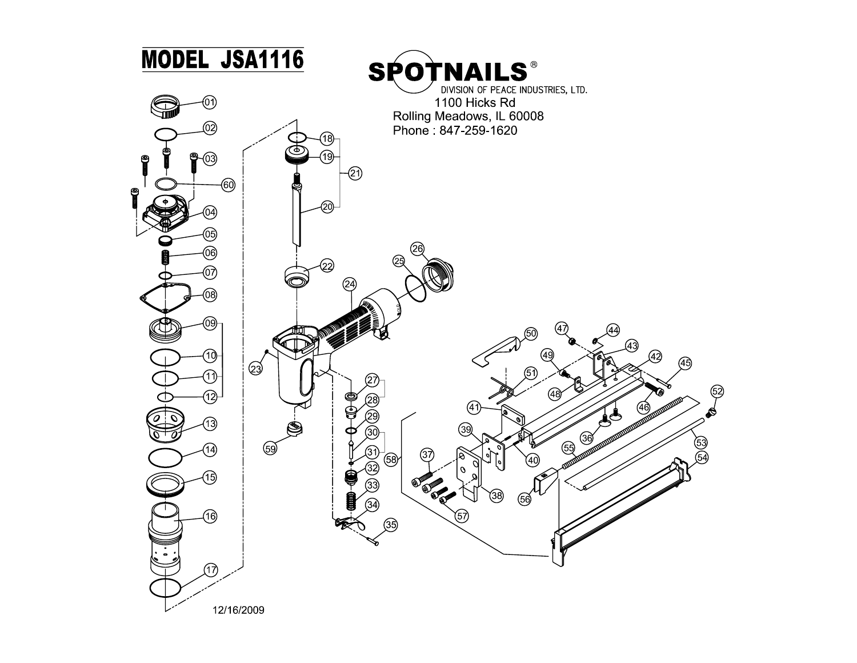